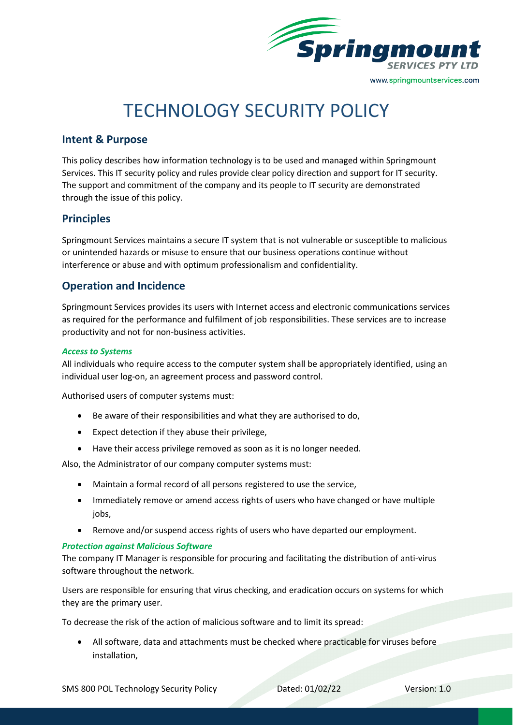

# TECHNOLOGY SECURITY POLICY

# **Intent & Purpose**

This policy describes how information technology is to be used and managed within Springmount Services. This IT security policy and rules provide clear policy direction and support for IT security. The support and commitment of the company and its people to IT security are demonstrated through the issue of this policy.

# **Principles**

Springmount Services maintains a secure IT system that is not vulnerable or susceptible to malicious or unintended hazards or misuse to ensure that our business operations continue without interference or abuse and with optimum professionalism and confidentiality.

# **Operation and Incidence**

Springmount Services provides its users with Internet access and electronic communications services as required for the performance and fulfilment of job responsibilities. These services are to increase productivity and not for non-business activities.

## *Access to Systems*

All individuals who require access to the computer system shall be appropriately identified, using an individual user log-on, an agreement process and password control.

Authorised users of computer systems must:

- Be aware of their responsibilities and what they are authorised to do,
- Expect detection if they abuse their privilege,
- Have their access privilege removed as soon as it is no longer needed.

Also, the Administrator of our company computer systems must:

- Maintain a formal record of all persons registered to use the service,
- Immediately remove or amend access rights of users who have changed or have multiple jobs,
- Remove and/or suspend access rights of users who have departed our employment.

## *Protection against Malicious Software*

The company IT Manager is responsible for procuring and facilitating the distribution of anti-virus software throughout the network.

Users are responsible for ensuring that virus checking, and eradication occurs on systems for which they are the primary user.

To decrease the risk of the action of malicious software and to limit its spread:

• All software, data and attachments must be checked where practicable for viruses before installation,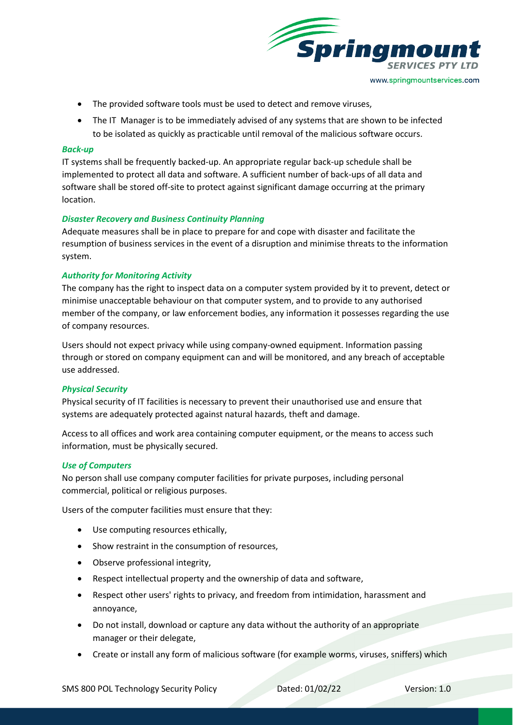

- The provided software tools must be used to detect and remove viruses,
- The IT Manager is to be immediately advised of any systems that are shown to be infected to be isolated as quickly as practicable until removal of the malicious software occurs.

#### *Back-up*

IT systems shall be frequently backed-up. An appropriate regular back-up schedule shall be implemented to protect all data and software. A sufficient number of back-ups of all data and software shall be stored off-site to protect against significant damage occurring at the primary location.

#### *Disaster Recovery and Business Continuity Planning*

Adequate measures shall be in place to prepare for and cope with disaster and facilitate the resumption of business services in the event of a disruption and minimise threats to the information system.

#### *Authority for Monitoring Activity*

The company has the right to inspect data on a computer system provided by it to prevent, detect or minimise unacceptable behaviour on that computer system, and to provide to any authorised member of the company, or law enforcement bodies, any information it possesses regarding the use of company resources.

Users should not expect privacy while using company-owned equipment. Information passing through or stored on company equipment can and will be monitored, and any breach of acceptable use addressed.

#### *Physical Security*

Physical security of IT facilities is necessary to prevent their unauthorised use and ensure that systems are adequately protected against natural hazards, theft and damage.

Access to all offices and work area containing computer equipment, or the means to access such information, must be physically secured.

#### *Use of Computers*

No person shall use company computer facilities for private purposes, including personal commercial, political or religious purposes.

Users of the computer facilities must ensure that they:

- Use computing resources ethically,
- Show restraint in the consumption of resources,
- Observe professional integrity,
- Respect intellectual property and the ownership of data and software,
- Respect other users' rights to privacy, and freedom from intimidation, harassment and annoyance,
- Do not install, download or capture any data without the authority of an appropriate manager or their delegate,
- Create or install any form of malicious software (for example worms, viruses, sniffers) which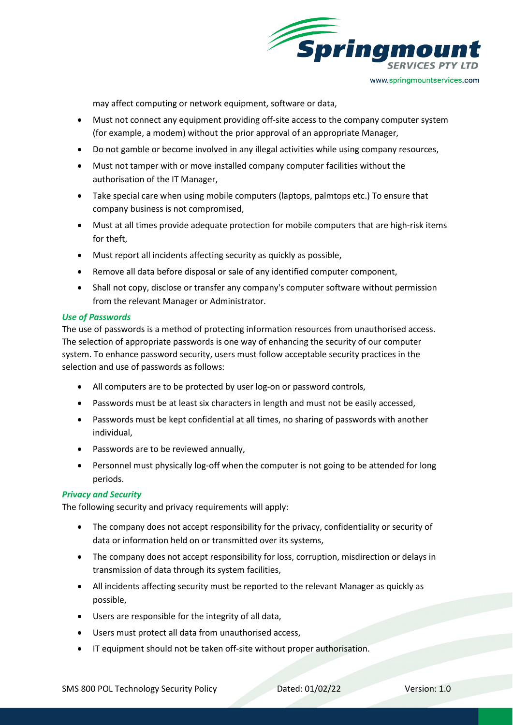

may affect computing or network equipment, software or data,

- Must not connect any equipment providing off-site access to the company computer system (for example, a modem) without the prior approval of an appropriate Manager,
- Do not gamble or become involved in any illegal activities while using company resources,
- Must not tamper with or move installed company computer facilities without the authorisation of the IT Manager,
- Take special care when using mobile computers (laptops, palmtops etc.) To ensure that company business is not compromised,
- Must at all times provide adequate protection for mobile computers that are high-risk items for theft,
- Must report all incidents affecting security as quickly as possible,
- Remove all data before disposal or sale of any identified computer component,
- Shall not copy, disclose or transfer any company's computer software without permission from the relevant Manager or Administrator.

#### *Use of Passwords*

The use of passwords is a method of protecting information resources from unauthorised access. The selection of appropriate passwords is one way of enhancing the security of our computer system. To enhance password security, users must follow acceptable security practices in the selection and use of passwords as follows:

- All computers are to be protected by user log-on or password controls,
- Passwords must be at least six characters in length and must not be easily accessed,
- Passwords must be kept confidential at all times, no sharing of passwords with another individual,
- Passwords are to be reviewed annually,
- Personnel must physically log-off when the computer is not going to be attended for long periods.

## *Privacy and Security*

The following security and privacy requirements will apply:

- The company does not accept responsibility for the privacy, confidentiality or security of data or information held on or transmitted over its systems,
- The company does not accept responsibility for loss, corruption, misdirection or delays in transmission of data through its system facilities,
- All incidents affecting security must be reported to the relevant Manager as quickly as possible,
- Users are responsible for the integrity of all data,
- Users must protect all data from unauthorised access,
- IT equipment should not be taken off-site without proper authorisation.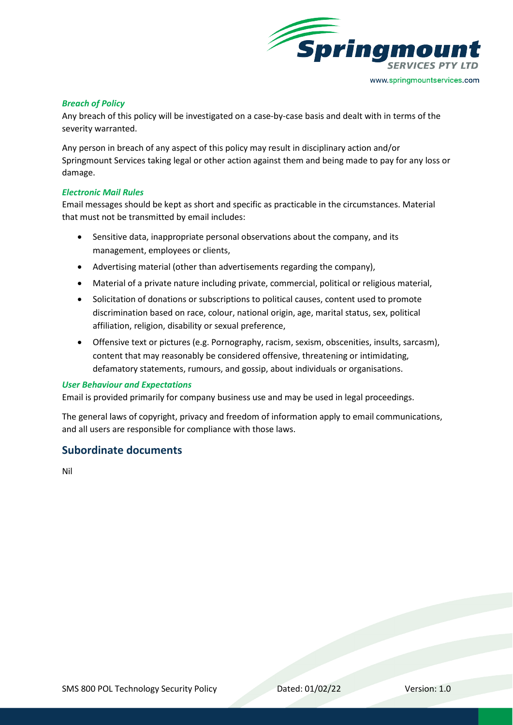

## *Breach of Policy*

Any breach of this policy will be investigated on a case-by-case basis and dealt with in terms of the severity warranted.

Any person in breach of any aspect of this policy may result in disciplinary action and/or Springmount Services taking legal or other action against them and being made to pay for any loss or damage.

## *Electronic Mail Rules*

Email messages should be kept as short and specific as practicable in the circumstances. Material that must not be transmitted by email includes:

- Sensitive data, inappropriate personal observations about the company, and its management, employees or clients,
- Advertising material (other than advertisements regarding the company),
- Material of a private nature including private, commercial, political or religious material,
- Solicitation of donations or subscriptions to political causes, content used to promote discrimination based on race, colour, national origin, age, marital status, sex, political affiliation, religion, disability or sexual preference,
- Offensive text or pictures (e.g. Pornography, racism, sexism, obscenities, insults, sarcasm), content that may reasonably be considered offensive, threatening or intimidating, defamatory statements, rumours, and gossip, about individuals or organisations.

#### *User Behaviour and Expectations*

Email is provided primarily for company business use and may be used in legal proceedings.

The general laws of copyright, privacy and freedom of information apply to email communications, and all users are responsible for compliance with those laws.

# **Subordinate documents**

Nil